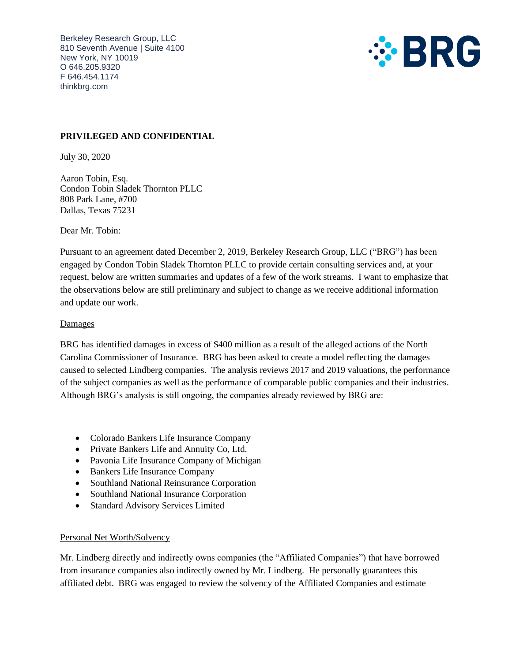Berkeley Research Group, LLC 810 Seventh Avenue | Suite 4100 New York, NY 10019 O 646.205.9320 F 646.454.1174 thinkbrg.com



# **PRIVILEGED AND CONFIDENTIAL**

July 30, 2020

Aaron Tobin, Esq. Condon Tobin Sladek Thornton PLLC 808 Park Lane, #700 Dallas, Texas 75231

Dear Mr. Tobin:

Pursuant to an agreement dated December 2, 2019, Berkeley Research Group, LLC ("BRG") has been engaged by Condon Tobin Sladek Thornton PLLC to provide certain consulting services and, at your request, below are written summaries and updates of a few of the work streams. I want to emphasize that the observations below are still preliminary and subject to change as we receive additional information and update our work.

### Damages

BRG has identified damages in excess of \$400 million as a result of the alleged actions of the North Carolina Commissioner of Insurance. BRG has been asked to create a model reflecting the damages caused to selected Lindberg companies. The analysis reviews 2017 and 2019 valuations, the performance of the subject companies as well as the performance of comparable public companies and their industries. Although BRG's analysis is still ongoing, the companies already reviewed by BRG are:

- Colorado Bankers Life Insurance Company
- Private Bankers Life and Annuity Co, Ltd.
- Pavonia Life Insurance Company of Michigan
- Bankers Life Insurance Company
- Southland National Reinsurance Corporation
- Southland National Insurance Corporation
- Standard Advisory Services Limited

## Personal Net Worth/Solvency

Mr. Lindberg directly and indirectly owns companies (the "Affiliated Companies") that have borrowed from insurance companies also indirectly owned by Mr. Lindberg. He personally guarantees this affiliated debt. BRG was engaged to review the solvency of the Affiliated Companies and estimate